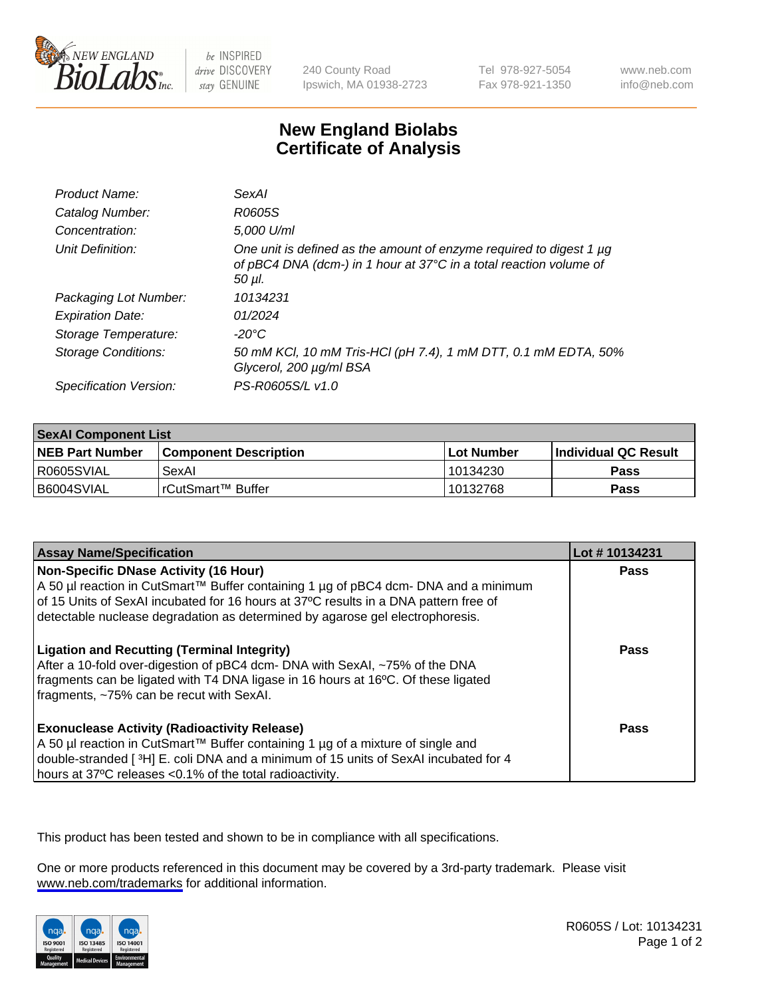

be INSPIRED drive DISCOVERY stay GENUINE

240 County Road Ipswich, MA 01938-2723 Tel 978-927-5054 Fax 978-921-1350

www.neb.com info@neb.com

## **New England Biolabs Certificate of Analysis**

| Product Name:           | SexAI                                                                                                                                                    |
|-------------------------|----------------------------------------------------------------------------------------------------------------------------------------------------------|
| Catalog Number:         | R0605S                                                                                                                                                   |
| Concentration:          | 5,000 U/ml                                                                                                                                               |
| Unit Definition:        | One unit is defined as the amount of enzyme required to digest 1 $\mu$ g<br>of pBC4 DNA (dcm-) in 1 hour at 37°C in a total reaction volume of<br>50 µl. |
| Packaging Lot Number:   | 10134231                                                                                                                                                 |
| <b>Expiration Date:</b> | 01/2024                                                                                                                                                  |
| Storage Temperature:    | -20°C                                                                                                                                                    |
| Storage Conditions:     | 50 mM KCl, 10 mM Tris-HCl (pH 7.4), 1 mM DTT, 0.1 mM EDTA, 50%<br>Glycerol, 200 µg/ml BSA                                                                |
| Specification Version:  | PS-R0605S/L v1.0                                                                                                                                         |

| <b>SexAl Component List</b> |                              |             |                             |  |
|-----------------------------|------------------------------|-------------|-----------------------------|--|
| <b>NEB Part Number</b>      | <b>Component Description</b> | ⊺Lot Number | <b>Individual QC Result</b> |  |
| I R0605SVIAL                | SexAl                        | 10134230    | Pass                        |  |
| I B6004SVIAL                | i rCutSmart™ Buffer_         | 10132768    | <b>Pass</b>                 |  |

| <b>Assay Name/Specification</b>                                                                                                                                                                                                                                                                       | Lot #10134231 |
|-------------------------------------------------------------------------------------------------------------------------------------------------------------------------------------------------------------------------------------------------------------------------------------------------------|---------------|
| Non-Specific DNase Activity (16 Hour)<br>A 50 µl reaction in CutSmart™ Buffer containing 1 µg of pBC4 dcm- DNA and a minimum<br>of 15 Units of SexAI incubated for 16 hours at 37°C results in a DNA pattern free of<br>detectable nuclease degradation as determined by agarose gel electrophoresis. | <b>Pass</b>   |
| <b>Ligation and Recutting (Terminal Integrity)</b><br>After a 10-fold over-digestion of pBC4 dcm- DNA with SexAI, ~75% of the DNA<br>fragments can be ligated with T4 DNA ligase in 16 hours at 16°C. Of these ligated<br>fragments, ~75% can be recut with SexAI.                                    | Pass          |
| <b>Exonuclease Activity (Radioactivity Release)</b><br>A 50 µl reaction in CutSmart™ Buffer containing 1 µg of a mixture of single and<br>double-stranded [3H] E. coli DNA and a minimum of 15 units of SexAI incubated for 4<br>hours at 37°C releases <0.1% of the total radioactivity.             | Pass          |

This product has been tested and shown to be in compliance with all specifications.

One or more products referenced in this document may be covered by a 3rd-party trademark. Please visit <www.neb.com/trademarks>for additional information.